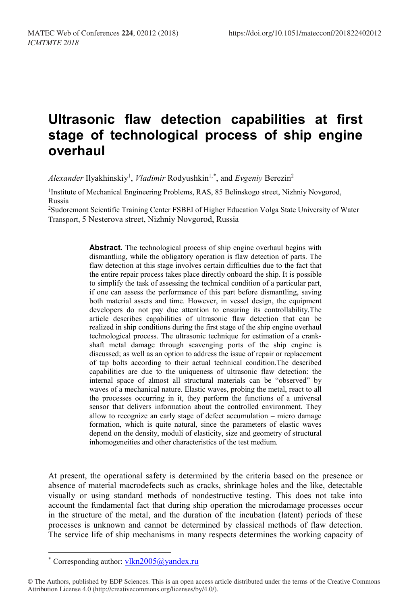## **Ultrasonic flaw detection capabilities at first stage of technological process of ship engine overhaul**

Alexander Ilyakhinskiy<sup>1</sup>, *Vladimir* Rodyushkin<sup>1,[\\*](#page-0-0)</sup>, and *Evgeniy* Berezin<sup>2</sup>

<sup>1</sup>Institute of Mechanical Engineering Problems, RAS, 85 Belinskogo street, Nizhniy Novgorod, Russia

2Sudoremont Scientific Training Center FSBEI of Higher Education Volga State University of Water Transport, 5 Nesterova street, Nizhniy Novgorod, Russia

> **Abstract.** The technological process of ship engine overhaul begins with dismantling, while the obligatory operation is flaw detection of parts. The flaw detection at this stage involves certain difficulties due to the fact that the entire repair process takes place directly onboard the ship. It is possible to simplify the task of assessing the technical condition of a particular part, if one can assess the performance of this part before dismantling, saving both material assets and time. However, in vessel design, the equipment developers do not pay due attention to ensuring its controllability.The article describes capabilities of ultrasonic flaw detection that can be realized in ship conditions during the first stage of the ship engine overhaul technological process. The ultrasonic technique for estimation of a crankshaft metal damage through scavenging ports of the ship engine is discussed; as well as an option to address the issue of repair or replacement of tap bolts according to their actual technical condition.The described capabilities are due to the uniqueness of ultrasonic flaw detection: the internal space of almost all structural materials can be "observed" by waves of a mechanical nature. Elastic waves, probing the metal, react to all the processes occurring in it, they perform the functions of a universal sensor that delivers information about the controlled environment. They allow to recognize an early stage of defect accumulation – micro damage formation, which is quite natural, since the parameters of elastic waves depend on the density, moduli of elasticity, size and geometry of structural inhomogeneities and other characteristics of the test medium.

At present, the operational safety is determined by the criteria based on the presence or absence of material macrodefects such as cracks, shrinkage holes and the like, detectable visually or using standard methods of nondestructive testing. This does not take into account the fundamental fact that during ship operation the microdamage processes occur in the structure of the metal, and the duration of the incubation (latent) periods of these processes is unknown and cannot be determined by classical methods of flaw detection. The service life of ship mechanisms in many respects determines the working capacity of

 $\overline{a}$ 

<sup>\*</sup> Corresponding author:  $v$ kn $2005$ @yandex.ru

<span id="page-0-0"></span><sup>©</sup> The Authors, published by EDP Sciences. This is an open access article distributed under the terms of the Creative Commons Attribution License 4.0 (http://creativecommons.org/licenses/by/4.0/).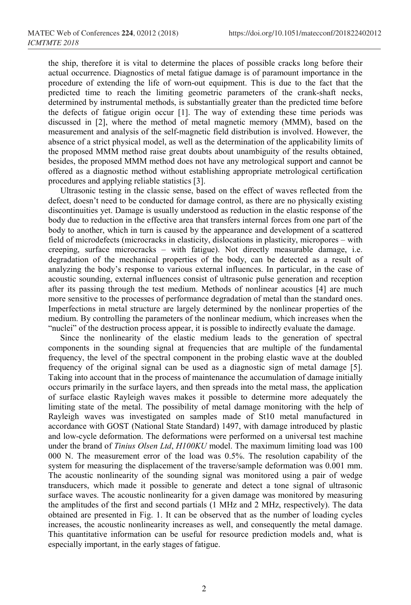the ship, therefore it is vital to determine the places of possible cracks long before their actual occurrence. Diagnostics of metal fatigue damage is of paramount importance in the procedure of extending the life of worn-out equipment. This is due to the fact that the predicted time to reach the limiting geometric parameters of the crank-shaft necks, determined by instrumental methods, is substantially greater than the predicted time before the defects of fatigue origin occur [1]. The way of extending these time periods was discussed in [2], where the method of metal magnetic memory (MMM), based on the measurement and analysis of the self-magnetic field distribution is involved. However, the absence of a strict physical model, as well as the determination of the applicability limits of the proposed MMM method raise great doubts about unambiguity of the results obtained, besides, the proposed MMM method does not have any metrological support and cannot be offered as a diagnostic method without establishing appropriate metrological certification procedures and applying reliable statistics [3].

Ultrasonic testing in the classic sense, based on the effect of waves reflected from the defect, doesn't need to be conducted for damage control, as there are no physically existing discontinuities yet. Damage is usually understood as reduction in the elastic response of the body due to reduction in the effective area that transfers internal forces from one part of the body to another, which in turn is caused by the appearance and development of a scattered field of microdefects (microcracks in elasticity, dislocations in plasticity, micropores – with creeping, surface microcracks – with fatigue). Not directly measurable damage, i.e. degradation of the mechanical properties of the body, can be detected as a result of analyzing the body's response to various external influences. In particular, in the case of acoustic sounding, external influences consist of ultrasonic pulse generation and reception after its passing through the test medium. Methods of nonlinear acoustics [4] are much more sensitive to the processes of performance degradation of metal than the standard ones. Imperfections in metal structure are largely determined by the nonlinear properties of the medium. By controlling the parameters of the nonlinear medium, which increases when the "nuclei" of the destruction process appear, it is possible to indirectly evaluate the damage.

Since the nonlinearity of the elastic medium leads to the generation of spectral components in the sounding signal at frequencies that are multiple of the fundamental frequency, the level of the spectral component in the probing elastic wave at the doubled frequency of the original signal can be used as a diagnostic sign of metal damage [5]. Taking into account that in the process of maintenance the accumulation of damage initially occurs primarily in the surface layers, and then spreads into the metal mass, the application of surface elastic Rayleigh waves makes it possible to determine more adequately the limiting state of the metal. The possibility of metal damage monitoring with the help of Rayleigh waves was investigated on samples made of St10 metal manufactured in accordance with GOST (National State Standard) 1497, with damage introduced by plastic and low-cycle deformation. The deformations were performed on a universal test machine under the brand of *Tinius Olsen Ltd*, *H100KU* model. The maximum limiting load was 100 000 N. The measurement error of the load was 0.5%. The resolution capability of the system for measuring the displacement of the traverse/sample deformation was 0.001 mm. The acoustic nonlinearity of the sounding signal was monitored using a pair of wedge transducers, which made it possible to generate and detect a tone signal of ultrasonic surface waves. The acoustic nonlinearity for a given damage was monitored by measuring the amplitudes of the first and second partials (1 MHz and 2 MHz, respectively). The data obtained are presented in Fig. 1. It can be observed that as the number of loading cycles increases, the acoustic nonlinearity increases as well, and consequently the metal damage. This quantitative information can be useful for resource prediction models and, what is especially important, in the early stages of fatigue.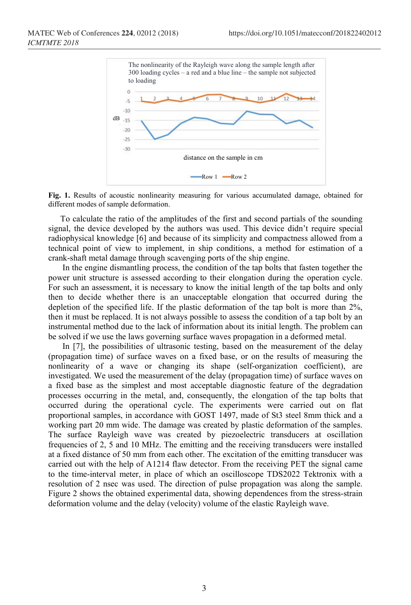

**Fig. 1.** Results of acoustic nonlinearity measuring for various accumulated damage, obtained for different modes of sample deformation.

To calculate the ratio of the amplitudes of the first and second partials of the sounding signal, the device developed by the authors was used. This device didn't require special radiophysical knowledge [6] and because of its simplicity and compactness allowed from a technical point of view to implement, in ship conditions, a method for estimation of a crank-shaft metal damage through scavenging ports of the ship engine.

In the engine dismantling process, the condition of the tap bolts that fasten together the power unit structure is assessed according to their elongation during the operation cycle. For such an assessment, it is necessary to know the initial length of the tap bolts and only then to decide whether there is an unacceptable elongation that occurred during the depletion of the specified life. If the plastic deformation of the tap bolt is more than 2%, then it must be replaced. It is not always possible to assess the condition of a tap bolt by an instrumental method due to the lack of information about its initial length. The problem can be solved if we use the laws governing surface waves propagation in a deformed metal.

In [7], the possibilities of ultrasonic testing, based on the measurement of the delay (propagation time) of surface waves on a fixed base, or on the results of measuring the nonlinearity of a wave or changing its shape (self-organization coefficient), are investigated. We used the measurement of the delay (propagation time) of surface waves on a fixed base as the simplest and most acceptable diagnostic feature of the degradation processes occurring in the metal, and, consequently, the elongation of the tap bolts that occurred during the operational cycle. The experiments were carried out on flat proportional samples, in accordance with GOST 1497, made of St3 steel 8mm thick and a working part 20 mm wide. The damage was created by plastic deformation of the samples. The surface Rayleigh wave was created by piezoelectric transducers at oscillation frequencies of 2, 5 and 10 MHz. The emitting and the receiving transducers were installed at a fixed distance of 50 mm from each other. The excitation of the emitting transducer was carried out with the help of A1214 flaw detector. From the receiving PET the signal came to the time-interval meter, in place of which an oscilloscope TDS2022 Tektronix with a resolution of 2 nsec was used. The direction of pulse propagation was along the sample. Figure 2 shows the obtained experimental data, showing dependences from the stress-strain deformation volume and the delay (velocity) volume of the elastic Rayleigh wave.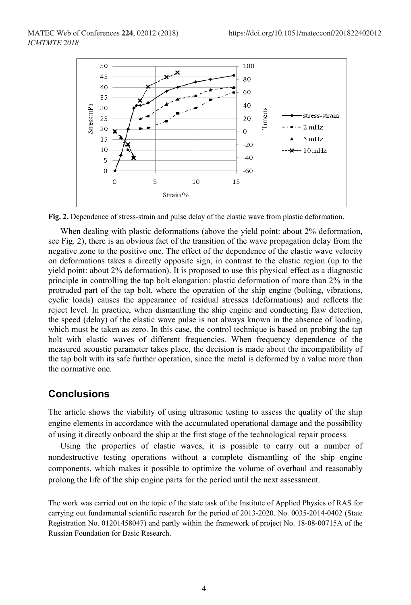

**Fig. 2.** Dependence of stress-strain and pulse delay of the elastic wave from plastic deformation.

When dealing with plastic deformations (above the yield point: about 2% deformation, see Fig. 2), there is an obvious fact of the transition of the wave propagation delay from the negative zone to the positive one. The effect of the dependence of the elastic wave velocity on deformations takes a directly opposite sign, in contrast to the elastic region (up to the yield point: about 2% deformation). It is proposed to use this physical effect as a diagnostic principle in controlling the tap bolt elongation: plastic deformation of more than 2% in the protruded part of the tap bolt, where the operation of the ship engine (bolting, vibrations, cyclic loads) causes the appearance of residual stresses (deformations) and reflects the reject level. In practice, when dismantling the ship engine and conducting flaw detection, the speed (delay) of the elastic wave pulse is not always known in the absence of loading, which must be taken as zero. In this case, the control technique is based on probing the tap bolt with elastic waves of different frequencies. When frequency dependence of the measured acoustic parameter takes place, the decision is made about the incompatibility of the tap bolt with its safe further operation, since the metal is deformed by a value more than the normative one.

## **Conclusions**

The article shows the viability of using ultrasonic testing to assess the quality of the ship engine elements in accordance with the accumulated operational damage and the possibility of using it directly onboard the ship at the first stage of the technological repair process.

Using the properties of elastic waves, it is possible to carry out a number of nondestructive testing operations without a complete dismantling of the ship engine components, which makes it possible to optimize the volume of overhaul and reasonably prolong the life of the ship engine parts for the period until the next assessment.

The work was carried out on the topic of the state task of the Institute of Applied Physics of RAS for carrying out fundamental scientific research for the period of 2013-2020. No. 0035-2014-0402 (State Registration No. 01201458047) and partly within the framework of project No. 18-08-00715A of the Russian Foundation for Basic Research.